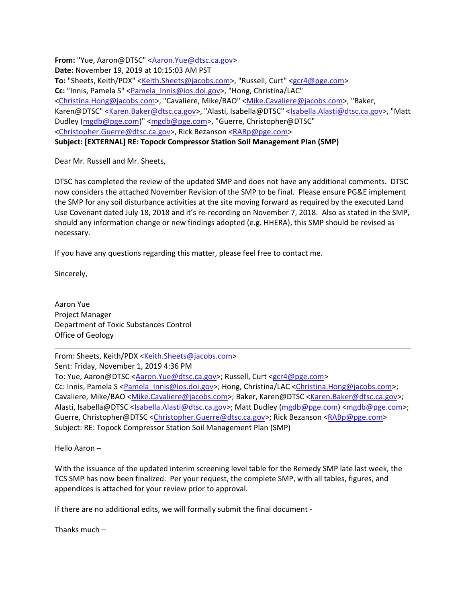**From:** "Yue, Aaron@DTSC" [<Aaron.Yue@dtsc.ca.gov>](mailto:Aaron.Yue@dtsc.ca.gov) **Date:** November 19, 2019 at 10:15:03 AM PST **To:** "Sheets, Keith/PDX" [<Keith.Sheets@jacobs.com>](mailto:Keith.Sheets@jacobs.com), "Russell, Curt" [<gcr4@pge.com>](mailto:gcr4@pge.com) Cc: "Innis, Pamela S" [<Pamela\\_Innis@ios.doi.gov>](mailto:Pamela_Innis@ios.doi.gov), "Hong, Christina/LAC" [<Christina.Hong@jacobs.com>](mailto:Christina.Hong@jacobs.com), "Cavaliere, Mike/BAO" [<Mike.Cavaliere@jacobs.com>](mailto:Mike.Cavaliere@jacobs.com), "Baker, Karen@DTSC" [<Karen.Baker@dtsc.ca.gov>](mailto:Karen.Baker@dtsc.ca.gov), "Alasti, Isabella@DTSC" [<Isabella.Alasti@dtsc.ca.gov>](mailto:Isabella.Alasti@dtsc.ca.gov), "Matt Dudley [\(mgdb@pge.com\)](mailto:mgdb@pge.com)" [<mgdb@pge.com>](mailto:mgdb@pge.com), "Guerre, Christopher@DTSC" [<Christopher.Guerre@dtsc.ca.gov>](mailto:Christopher.Guerre@dtsc.ca.gov), Rick Bezanson [<RABp@pge.com>](mailto:RABp@pge.com) **Subject: [EXTERNAL] RE: Topock Compressor Station Soil Management Plan (SMP)**

Dear Mr. Russell and Mr. Sheets,

DTSC has completed the review of the updated SMP and does not have any additional comments. DTSC now considers the attached November Revision of the SMP to be final. Please ensure PG&E implement the SMP for any soil disturbance activities at the site moving forward as required by the executed Land Use Covenant dated July 18, 2018 and it's re-recording on November 7, 2018. Also as stated in the SMP, should any information change or new findings adopted (e.g. HHERA), this SMP should be revised as necessary.

If you have any questions regarding this matter, please feel free to contact me.

Sincerely,

Aaron Yue Project Manager Department of Toxic Substances Control Office of Geology

From: Sheets, Keith/PDX [<Keith.Sheets@jacobs.com>](mailto:Keith.Sheets@jacobs.com) Sent: Friday, November 1, 2019 4:36 PM To: Yue, Aaron@DTSC [<Aaron.Yue@dtsc.ca.gov>](mailto:Aaron.Yue@dtsc.ca.gov); Russell, Curt [<gcr4@pge.com>](mailto:gcr4@pge.com) Cc: Innis, Pamela S [<Pamela\\_Innis@ios.doi.gov>](mailto:Pamela_Innis@ios.doi.gov); Hong, Christina/LAC [<Christina.Hong@jacobs.com>](mailto:Christina.Hong@jacobs.com); Cavaliere, Mike/BAO [<Mike.Cavaliere@jacobs.com>](mailto:Mike.Cavaliere@jacobs.com); Baker, Karen@DTSC [<Karen.Baker@dtsc.ca.gov>](mailto:Karen.Baker@dtsc.ca.gov); Alasti, Isabella@DTSC [<Isabella.Alasti@dtsc.ca.gov>](mailto:Isabella.Alasti@dtsc.ca.gov); Matt Dudley [\(mgdb@pge.com\)](mailto:mgdb@pge.com) [<mgdb@pge.com>](mailto:mgdb@pge.com); Guerre, Christopher@DTSC [<Christopher.Guerre@dtsc.ca.gov>](mailto:Christopher.Guerre@dtsc.ca.gov); Rick Bezanson [<RABp@pge.com>](mailto:RABp@pge.com) Subject: RE: Topock Compressor Station Soil Management Plan (SMP)

Hello Aaron –

With the issuance of the updated interim screening level table for the Remedy SMP late last week, the TCS SMP has now been finalized. Per your request, the complete SMP, with all tables, figures, and appendices is attached for your review prior to approval.

If there are no additional edits, we will formally submit the final document -

Thanks much –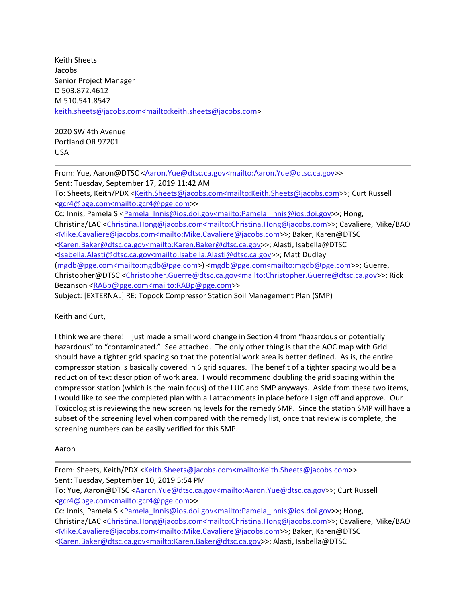Keith Sheets Jacobs Senior Project Manager D 503.872.4612 M 510.541.8542 [keith.sheets@jacobs.com<mailto:keith.sheets@jacobs.com>](mailto:keith.sheets@jacobs.com%3cmailto:keith.sheets@jacobs.com)

2020 SW 4th Avenue Portland OR 97201 USA

From: Yue, Aaron@DTSC [<Aaron.Yue@dtsc.ca.gov<mailto:Aaron.Yue@dtsc.ca.gov>](mailto:Aaron.Yue@dtsc.ca.gov%3cmailto:Aaron.Yue@dtsc.ca.gov)> Sent: Tuesday, September 17, 2019 11:42 AM To: Sheets, Keith/PDX [<Keith.Sheets@jacobs.com<mailto:Keith.Sheets@jacobs.com>](mailto:Keith.Sheets@jacobs.com%3cmailto:Keith.Sheets@jacobs.com)>; Curt Russell [<gcr4@pge.com<mailto:gcr4@pge.com>](mailto:gcr4@pge.com%3cmailto:gcr4@pge.com)> Cc: Innis, Pamela S [<Pamela\\_Innis@ios.doi.gov<mailto:Pamela\\_Innis@ios.doi.gov>](mailto:Pamela_Innis@ios.doi.gov%3cmailto:Pamela_Innis@ios.doi.gov)>; Hong, Christina/LAC [<Christina.Hong@jacobs.com<mailto:Christina.Hong@jacobs.com>](mailto:Christina.Hong@jacobs.com%3cmailto:Christina.Hong@jacobs.com)>; Cavaliere, Mike/BAO [<Mike.Cavaliere@jacobs.com<mailto:Mike.Cavaliere@jacobs.com>](mailto:Mike.Cavaliere@jacobs.com%3cmailto:Mike.Cavaliere@jacobs.com)>; Baker, Karen@DTSC [<Karen.Baker@dtsc.ca.gov<mailto:Karen.Baker@dtsc.ca.gov>](mailto:Karen.Baker@dtsc.ca.gov%3cmailto:Karen.Baker@dtsc.ca.gov)>; Alasti, Isabella@DTSC [<Isabella.Alasti@dtsc.ca.gov<mailto:Isabella.Alasti@dtsc.ca.gov>](mailto:Isabella.Alasti@dtsc.ca.gov%3cmailto:Isabella.Alasti@dtsc.ca.gov)>; Matt Dudley [\(mgdb@pge.com<mailto:mgdb@pge.com>](mailto:mgdb@pge.com%3cmailto:mgdb@pge.com)) [<mgdb@pge.com<mailto:mgdb@pge.com>](mailto:mgdb@pge.com%3cmailto:mgdb@pge.com)>; Guerre, Christopher@DTSC [<Christopher.Guerre@dtsc.ca.gov<mailto:Christopher.Guerre@dtsc.ca.gov>](mailto:Christopher.Guerre@dtsc.ca.gov%3cmailto:Christopher.Guerre@dtsc.ca.gov)>; Rick Bezanson [<RABp@pge.com<mailto:RABp@pge.com>](mailto:RABp@pge.com%3cmailto:RABp@pge.com)> Subject: [EXTERNAL] RE: Topock Compressor Station Soil Management Plan (SMP)

Keith and Curt,

I think we are there! I just made a small word change in Section 4 from "hazardous or potentially hazardous" to "contaminated." See attached. The only other thing is that the AOC map with Grid should have a tighter grid spacing so that the potential work area is better defined. As is, the entire compressor station is basically covered in 6 grid squares. The benefit of a tighter spacing would be a reduction of text description of work area. I would recommend doubling the grid spacing within the compressor station (which is the main focus) of the LUC and SMP anyways. Aside from these two items, I would like to see the completed plan with all attachments in place before I sign off and approve. Our Toxicologist is reviewing the new screening levels for the remedy SMP. Since the station SMP will have a subset of the screening level when compared with the remedy list, once that review is complete, the screening numbers can be easily verified for this SMP.

Aaron

From: Sheets, Keith/PDX [<Keith.Sheets@jacobs.com<mailto:Keith.Sheets@jacobs.com>](mailto:Keith.Sheets@jacobs.com%3cmailto:Keith.Sheets@jacobs.com)> Sent: Tuesday, September 10, 2019 5:54 PM

To: Yue, Aaron@DTSC [<Aaron.Yue@dtsc.ca.gov<mailto:Aaron.Yue@dtsc.ca.gov>](mailto:Aaron.Yue@dtsc.ca.gov%3cmailto:Aaron.Yue@dtsc.ca.gov)>; Curt Russell [<gcr4@pge.com<mailto:gcr4@pge.com>](mailto:gcr4@pge.com%3cmailto:gcr4@pge.com)>

Cc: Innis, Pamela S [<Pamela\\_Innis@ios.doi.gov<mailto:Pamela\\_Innis@ios.doi.gov>](mailto:Pamela_Innis@ios.doi.gov%3cmailto:Pamela_Innis@ios.doi.gov)>; Hong, Christina/LAC [<Christina.Hong@jacobs.com<mailto:Christina.Hong@jacobs.com>](mailto:Christina.Hong@jacobs.com%3cmailto:Christina.Hong@jacobs.com)>; Cavaliere, Mike/BAO [<Mike.Cavaliere@jacobs.com<mailto:Mike.Cavaliere@jacobs.com>](mailto:Mike.Cavaliere@jacobs.com%3cmailto:Mike.Cavaliere@jacobs.com)>; Baker, Karen@DTSC [<Karen.Baker@dtsc.ca.gov<mailto:Karen.Baker@dtsc.ca.gov>](mailto:Karen.Baker@dtsc.ca.gov%3cmailto:Karen.Baker@dtsc.ca.gov)>; Alasti, Isabella@DTSC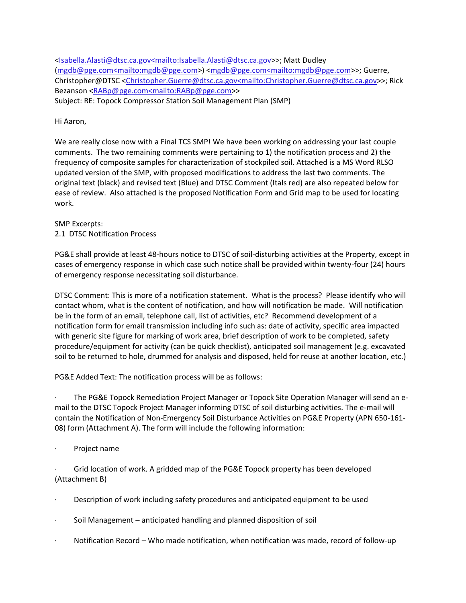[<Isabella.Alasti@dtsc.ca.gov<mailto:Isabella.Alasti@dtsc.ca.gov>](mailto:Isabella.Alasti@dtsc.ca.gov%3cmailto:Isabella.Alasti@dtsc.ca.gov)>; Matt Dudley [\(mgdb@pge.com<mailto:mgdb@pge.com>](mailto:mgdb@pge.com%3cmailto:mgdb@pge.com)) [<mgdb@pge.com<mailto:mgdb@pge.com>](mailto:mgdb@pge.com%3cmailto:mgdb@pge.com)>; Guerre, Christopher@DTSC [<Christopher.Guerre@dtsc.ca.gov<mailto:Christopher.Guerre@dtsc.ca.gov>](mailto:Christopher.Guerre@dtsc.ca.gov%3cmailto:Christopher.Guerre@dtsc.ca.gov)>; Rick Bezanson [<RABp@pge.com<mailto:RABp@pge.com>](mailto:RABp@pge.com%3cmailto:RABp@pge.com)> Subject: RE: Topock Compressor Station Soil Management Plan (SMP)

Hi Aaron,

We are really close now with a Final TCS SMP! We have been working on addressing your last couple comments. The two remaining comments were pertaining to 1) the notification process and 2) the frequency of composite samples for characterization of stockpiled soil. Attached is a MS Word RLSO updated version of the SMP, with proposed modifications to address the last two comments. The original text (black) and revised text (Blue) and DTSC Comment (Itals red) are also repeated below for ease of review. Also attached is the proposed Notification Form and Grid map to be used for locating work.

SMP Excerpts: 2.1 DTSC Notification Process

PG&E shall provide at least 48-hours notice to DTSC of soil-disturbing activities at the Property, except in cases of emergency response in which case such notice shall be provided within twenty-four (24) hours of emergency response necessitating soil disturbance.

DTSC Comment: This is more of a notification statement. What is the process? Please identify who will contact whom, what is the content of notification, and how will notification be made. Will notification be in the form of an email, telephone call, list of activities, etc? Recommend development of a notification form for email transmission including info such as: date of activity, specific area impacted with generic site figure for marking of work area, brief description of work to be completed, safety procedure/equipment for activity (can be quick checklist), anticipated soil management (e.g. excavated soil to be returned to hole, drummed for analysis and disposed, held for reuse at another location, etc.)

PG&E Added Text: The notification process will be as follows:

· The PG&E Topock Remediation Project Manager or Topock Site Operation Manager will send an email to the DTSC Topock Project Manager informing DTSC of soil disturbing activities. The e-mail will contain the Notification of Non-Emergency Soil Disturbance Activities on PG&E Property (APN 650-161- 08) form (Attachment A). The form will include the following information:

Project name

· Grid location of work. A gridded map of the PG&E Topock property has been developed (Attachment B)

- Description of work including safety procedures and anticipated equipment to be used
- · Soil Management anticipated handling and planned disposition of soil
- Notification Record Who made notification, when notification was made, record of follow-up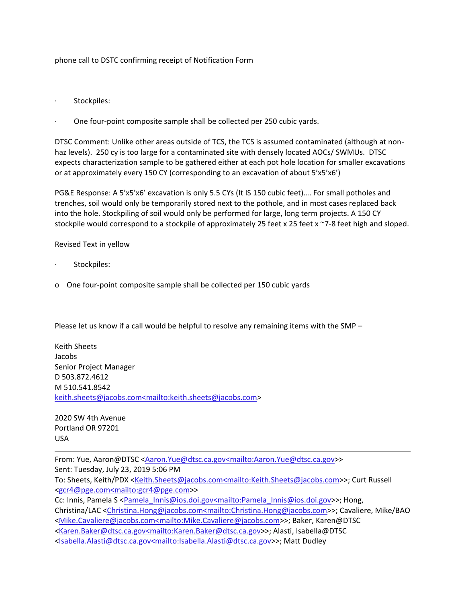phone call to DSTC confirming receipt of Notification Form

- Stockpiles:
- One four-point composite sample shall be collected per 250 cubic yards.

DTSC Comment: Unlike other areas outside of TCS, the TCS is assumed contaminated (although at nonhaz levels). 250 cy is too large for a contaminated site with densely located AOCs/ SWMUs. DTSC expects characterization sample to be gathered either at each pot hole location for smaller excavations or at approximately every 150 CY (corresponding to an excavation of about 5'x5'x6')

PG&E Response: A 5'x5'x6' excavation is only 5.5 CYs (It IS 150 cubic feet)…. For small potholes and trenches, soil would only be temporarily stored next to the pothole, and in most cases replaced back into the hole. Stockpiling of soil would only be performed for large, long term projects. A 150 CY stockpile would correspond to a stockpile of approximately 25 feet x 25 feet x ~7-8 feet high and sloped.

Revised Text in yellow

- · Stockpiles:
- o One four-point composite sample shall be collected per 150 cubic yards

Please let us know if a call would be helpful to resolve any remaining items with the SMP –

Keith Sheets Jacobs Senior Project Manager D 503.872.4612 M 510.541.8542 [keith.sheets@jacobs.com<mailto:keith.sheets@jacobs.com>](mailto:keith.sheets@jacobs.com%3cmailto:keith.sheets@jacobs.com)

2020 SW 4th Avenue Portland OR 97201 USA

From: Yue, Aaron@DTSC [<Aaron.Yue@dtsc.ca.gov<mailto:Aaron.Yue@dtsc.ca.gov>](mailto:Aaron.Yue@dtsc.ca.gov%3cmailto:Aaron.Yue@dtsc.ca.gov)> Sent: Tuesday, July 23, 2019 5:06 PM To: Sheets, Keith/PDX [<Keith.Sheets@jacobs.com<mailto:Keith.Sheets@jacobs.com>](mailto:Keith.Sheets@jacobs.com%3cmailto:Keith.Sheets@jacobs.com)>; Curt Russell [<gcr4@pge.com<mailto:gcr4@pge.com>](mailto:gcr4@pge.com%3cmailto:gcr4@pge.com)> Cc: Innis, Pamela S [<Pamela\\_Innis@ios.doi.gov<mailto:Pamela\\_Innis@ios.doi.gov>](mailto:Pamela_Innis@ios.doi.gov%3cmailto:Pamela_Innis@ios.doi.gov)>; Hong, Christina/LAC [<Christina.Hong@jacobs.com<mailto:Christina.Hong@jacobs.com>](mailto:Christina.Hong@jacobs.com%3cmailto:Christina.Hong@jacobs.com)>; Cavaliere, Mike/BAO [<Mike.Cavaliere@jacobs.com<mailto:Mike.Cavaliere@jacobs.com>](mailto:Mike.Cavaliere@jacobs.com%3cmailto:Mike.Cavaliere@jacobs.com)>; Baker, Karen@DTSC [<Karen.Baker@dtsc.ca.gov<mailto:Karen.Baker@dtsc.ca.gov>](mailto:Karen.Baker@dtsc.ca.gov%3cmailto:Karen.Baker@dtsc.ca.gov)>; Alasti, Isabella@DTSC [<Isabella.Alasti@dtsc.ca.gov<mailto:Isabella.Alasti@dtsc.ca.gov>](mailto:Isabella.Alasti@dtsc.ca.gov%3cmailto:Isabella.Alasti@dtsc.ca.gov)>; Matt Dudley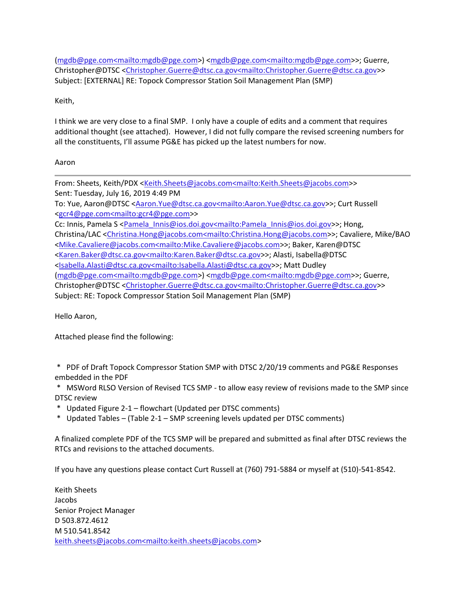[\(mgdb@pge.com<mailto:mgdb@pge.com>](mailto:mgdb@pge.com%3cmailto:mgdb@pge.com)) [<mgdb@pge.com<mailto:mgdb@pge.com>](mailto:mgdb@pge.com%3cmailto:mgdb@pge.com)>; Guerre, Christopher@DTSC [<Christopher.Guerre@dtsc.ca.gov<mailto:Christopher.Guerre@dtsc.ca.gov>](mailto:Christopher.Guerre@dtsc.ca.gov%3cmailto:Christopher.Guerre@dtsc.ca.gov)> Subject: [EXTERNAL] RE: Topock Compressor Station Soil Management Plan (SMP)

Keith,

I think we are very close to a final SMP. I only have a couple of edits and a comment that requires additional thought (see attached). However, I did not fully compare the revised screening numbers for all the constituents, I'll assume PG&E has picked up the latest numbers for now.

## Aaron

From: Sheets, Keith/PDX [<Keith.Sheets@jacobs.com<mailto:Keith.Sheets@jacobs.com>](mailto:Keith.Sheets@jacobs.com%3cmailto:Keith.Sheets@jacobs.com)> Sent: Tuesday, July 16, 2019 4:49 PM To: Yue, Aaron@DTSC [<Aaron.Yue@dtsc.ca.gov<mailto:Aaron.Yue@dtsc.ca.gov>](mailto:Aaron.Yue@dtsc.ca.gov%3cmailto:Aaron.Yue@dtsc.ca.gov)>; Curt Russell [<gcr4@pge.com<mailto:gcr4@pge.com>](mailto:gcr4@pge.com%3cmailto:gcr4@pge.com)> Cc: Innis, Pamela S [<Pamela\\_Innis@ios.doi.gov<mailto:Pamela\\_Innis@ios.doi.gov>](mailto:Pamela_Innis@ios.doi.gov%3cmailto:Pamela_Innis@ios.doi.gov)>; Hong, Christina/LAC [<Christina.Hong@jacobs.com<mailto:Christina.Hong@jacobs.com>](mailto:Christina.Hong@jacobs.com%3cmailto:Christina.Hong@jacobs.com)>; Cavaliere, Mike/BAO [<Mike.Cavaliere@jacobs.com<mailto:Mike.Cavaliere@jacobs.com>](mailto:Mike.Cavaliere@jacobs.com%3cmailto:Mike.Cavaliere@jacobs.com)>; Baker, Karen@DTSC [<Karen.Baker@dtsc.ca.gov<mailto:Karen.Baker@dtsc.ca.gov>](mailto:Karen.Baker@dtsc.ca.gov%3cmailto:Karen.Baker@dtsc.ca.gov)>; Alasti, Isabella@DTSC [<Isabella.Alasti@dtsc.ca.gov<mailto:Isabella.Alasti@dtsc.ca.gov>](mailto:Isabella.Alasti@dtsc.ca.gov%3cmailto:Isabella.Alasti@dtsc.ca.gov)>; Matt Dudley [\(mgdb@pge.com<mailto:mgdb@pge.com>](mailto:mgdb@pge.com%3cmailto:mgdb@pge.com)) [<mgdb@pge.com<mailto:mgdb@pge.com>](mailto:mgdb@pge.com%3cmailto:mgdb@pge.com)>; Guerre, Christopher@DTSC [<Christopher.Guerre@dtsc.ca.gov<mailto:Christopher.Guerre@dtsc.ca.gov>](mailto:Christopher.Guerre@dtsc.ca.gov%3cmailto:Christopher.Guerre@dtsc.ca.gov)> Subject: RE: Topock Compressor Station Soil Management Plan (SMP)

Hello Aaron,

Attached please find the following:

\* PDF of Draft Topock Compressor Station SMP with DTSC 2/20/19 comments and PG&E Responses embedded in the PDF

\* MSWord RLSO Version of Revised TCS SMP - to allow easy review of revisions made to the SMP since DTSC review

- \* Updated Figure 2-1 flowchart (Updated per DTSC comments)
- \* Updated Tables (Table 2-1 SMP screening levels updated per DTSC comments)

A finalized complete PDF of the TCS SMP will be prepared and submitted as final after DTSC reviews the RTCs and revisions to the attached documents.

If you have any questions please contact Curt Russell at (760) 791-5884 or myself at (510)-541-8542.

Keith Sheets Jacobs Senior Project Manager D 503.872.4612 M 510.541.8542 [keith.sheets@jacobs.com<mailto:keith.sheets@jacobs.com>](mailto:keith.sheets@jacobs.com%3cmailto:keith.sheets@jacobs.com)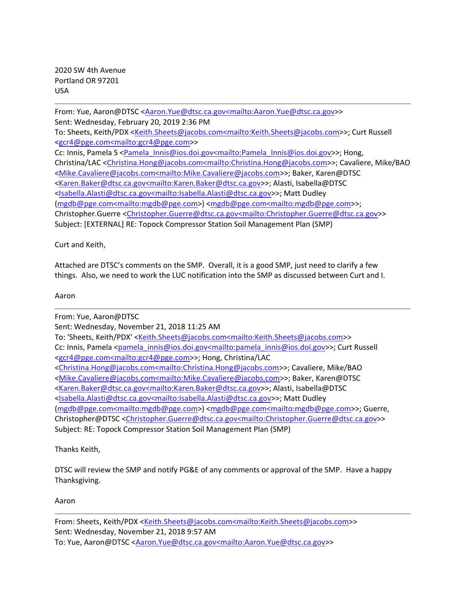2020 SW 4th Avenue Portland OR 97201 USA

From: Yue, Aaron@DTSC [<Aaron.Yue@dtsc.ca.gov<mailto:Aaron.Yue@dtsc.ca.gov>](mailto:Aaron.Yue@dtsc.ca.gov%3cmailto:Aaron.Yue@dtsc.ca.gov)> Sent: Wednesday, February 20, 2019 2:36 PM To: Sheets, Keith/PDX [<Keith.Sheets@jacobs.com<mailto:Keith.Sheets@jacobs.com>](mailto:Keith.Sheets@jacobs.com%3cmailto:Keith.Sheets@jacobs.com)>; Curt Russell [<gcr4@pge.com<mailto:gcr4@pge.com>](mailto:gcr4@pge.com%3cmailto:gcr4@pge.com)> Cc: Innis, Pamela S [<Pamela\\_Innis@ios.doi.gov<mailto:Pamela\\_Innis@ios.doi.gov>](mailto:Pamela_Innis@ios.doi.gov%3cmailto:Pamela_Innis@ios.doi.gov)>; Hong, Christina/LAC [<Christina.Hong@jacobs.com<mailto:Christina.Hong@jacobs.com>](mailto:Christina.Hong@jacobs.com%3cmailto:Christina.Hong@jacobs.com)>; Cavaliere, Mike/BAO [<Mike.Cavaliere@jacobs.com<mailto:Mike.Cavaliere@jacobs.com>](mailto:Mike.Cavaliere@jacobs.com%3cmailto:Mike.Cavaliere@jacobs.com)>; Baker, Karen@DTSC [<Karen.Baker@dtsc.ca.gov<mailto:Karen.Baker@dtsc.ca.gov>](mailto:Karen.Baker@dtsc.ca.gov%3cmailto:Karen.Baker@dtsc.ca.gov)>; Alasti, Isabella@DTSC [<Isabella.Alasti@dtsc.ca.gov<mailto:Isabella.Alasti@dtsc.ca.gov>](mailto:Isabella.Alasti@dtsc.ca.gov%3cmailto:Isabella.Alasti@dtsc.ca.gov)>; Matt Dudley [\(mgdb@pge.com<mailto:mgdb@pge.com>](mailto:mgdb@pge.com%3cmailto:mgdb@pge.com)) [<mgdb@pge.com<mailto:mgdb@pge.com>](mailto:mgdb@pge.com%3cmailto:mgdb@pge.com)>; Christopher.Guerre [<Christopher.Guerre@dtsc.ca.gov<mailto:Christopher.Guerre@dtsc.ca.gov>](mailto:Christopher.Guerre@dtsc.ca.gov%3cmailto:Christopher.Guerre@dtsc.ca.gov)> Subject: [EXTERNAL] RE: Topock Compressor Station Soil Management Plan (SMP)

Curt and Keith,

Attached are DTSC's comments on the SMP. Overall, it is a good SMP, just need to clarify a few things. Also, we need to work the LUC notification into the SMP as discussed between Curt and I.

## Aaron

From: Yue, Aaron@DTSC Sent: Wednesday, November 21, 2018 11:25 AM To: 'Sheets, Keith/PDX' [<Keith.Sheets@jacobs.com<mailto:Keith.Sheets@jacobs.com>](mailto:Keith.Sheets@jacobs.com%3cmailto:Keith.Sheets@jacobs.com)> Cc: Innis, Pamela [<pamela\\_innis@ios.doi.gov<mailto:pamela\\_innis@ios.doi.gov>](mailto:pamela_innis@ios.doi.gov%3cmailto:pamela_innis@ios.doi.gov)>; Curt Russell [<gcr4@pge.com<mailto:gcr4@pge.com>](mailto:gcr4@pge.com%3cmailto:gcr4@pge.com)>; Hong, Christina/LAC [<Christina.Hong@jacobs.com<mailto:Christina.Hong@jacobs.com>](mailto:Christina.Hong@jacobs.com%3cmailto:Christina.Hong@jacobs.com)>; Cavaliere, Mike/BAO [<Mike.Cavaliere@jacobs.com<mailto:Mike.Cavaliere@jacobs.com>](mailto:Mike.Cavaliere@jacobs.com%3cmailto:Mike.Cavaliere@jacobs.com)>; Baker, Karen@DTSC [<Karen.Baker@dtsc.ca.gov<mailto:Karen.Baker@dtsc.ca.gov>](mailto:Karen.Baker@dtsc.ca.gov%3cmailto:Karen.Baker@dtsc.ca.gov)>; Alasti, Isabella@DTSC [<Isabella.Alasti@dtsc.ca.gov<mailto:Isabella.Alasti@dtsc.ca.gov>](mailto:Isabella.Alasti@dtsc.ca.gov%3cmailto:Isabella.Alasti@dtsc.ca.gov)>; Matt Dudley [\(mgdb@pge.com<mailto:mgdb@pge.com>](mailto:mgdb@pge.com%3cmailto:mgdb@pge.com)) [<mgdb@pge.com<mailto:mgdb@pge.com>](mailto:mgdb@pge.com%3cmailto:mgdb@pge.com)>; Guerre, Christopher@DTSC [<Christopher.Guerre@dtsc.ca.gov<mailto:Christopher.Guerre@dtsc.ca.gov>](mailto:Christopher.Guerre@dtsc.ca.gov%3cmailto:Christopher.Guerre@dtsc.ca.gov)> Subject: RE: Topock Compressor Station Soil Management Plan (SMP)

Thanks Keith,

DTSC will review the SMP and notify PG&E of any comments or approval of the SMP. Have a happy Thanksgiving.

Aaron

From: Sheets, Keith/PDX [<Keith.Sheets@jacobs.com<mailto:Keith.Sheets@jacobs.com>](mailto:Keith.Sheets@jacobs.com%3cmailto:Keith.Sheets@jacobs.com)> Sent: Wednesday, November 21, 2018 9:57 AM To: Yue, Aaron@DTSC [<Aaron.Yue@dtsc.ca.gov<mailto:Aaron.Yue@dtsc.ca.gov>](mailto:Aaron.Yue@dtsc.ca.gov%3cmailto:Aaron.Yue@dtsc.ca.gov)>